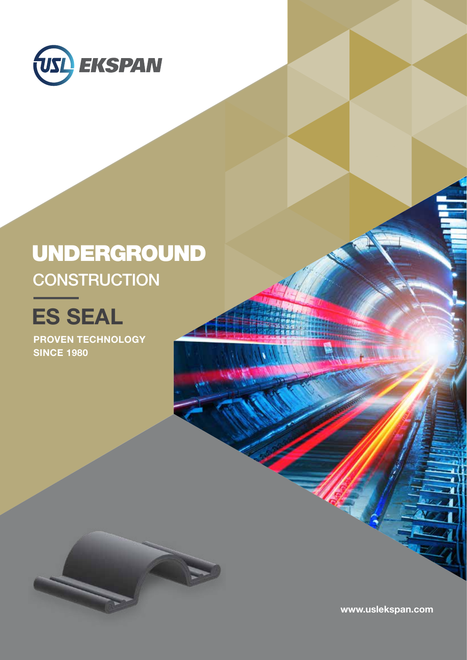

## UNDERGROUND **CONSTRUCTION**

# ES SEAL

PROVEN TECHNOLOGY **SINCE 1980** 

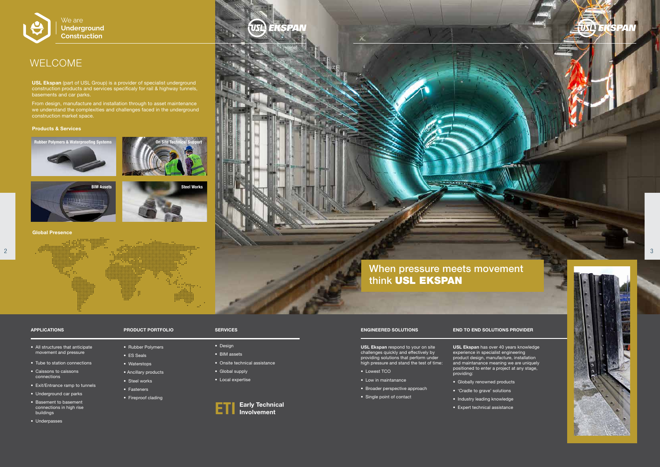#### ENGINEERED SOLUTIONS

USL Ekspan respond to your on site challenges quickly and effectively by providing solutions that perform under high pressure and stand the test of time:

- Lowest TCO
- Low in maintanance
- Broader perspective approach
- Single point of contact

#### END TO END SOLUTIONS PROVIDER

USL Ekspan has over 40 years knowledge experience in specialist engineering product design, manufacture, installation and maintanance meaning we are uniquely positioned to enter a project at any stage, providing:

- Globally renowned products
- 'Cradle to grave' solutions
- Industry leading knowledge





• Expert technical assistance

USL Ekspan (part of USL Group) is a provider of specialist underground construction products and services specificaly for rail & highway tunnels, basements and car parks.

From design, manufacture and installation through to asset maintenance we understand the complexities and challenges faced in the underground construction market space.

#### APPLICATIONS

- All structures that anticipate movement and pressure
- Tube to station connections
- Caissons to caissons connections
- Exit/Entrance ramp to tunnels
- Underground car parks
- Basement to basement connections in high rise buildings
- Underpasses

#### PRODUCT PORTFOLIO

- Rubber Polymers
- ES Seals
- Waterstops
- Ancillary products
- Steel works
- Fasteners
- Fireproof clading
- Design
- BIM assets
- Onsite technical assistance
- Global supply
- Local expertise

## WELCOME



#### Early Technical **Involvement** ETI

Global Presence



#### Products & Services

### SERVICES



### **Underground Construction**